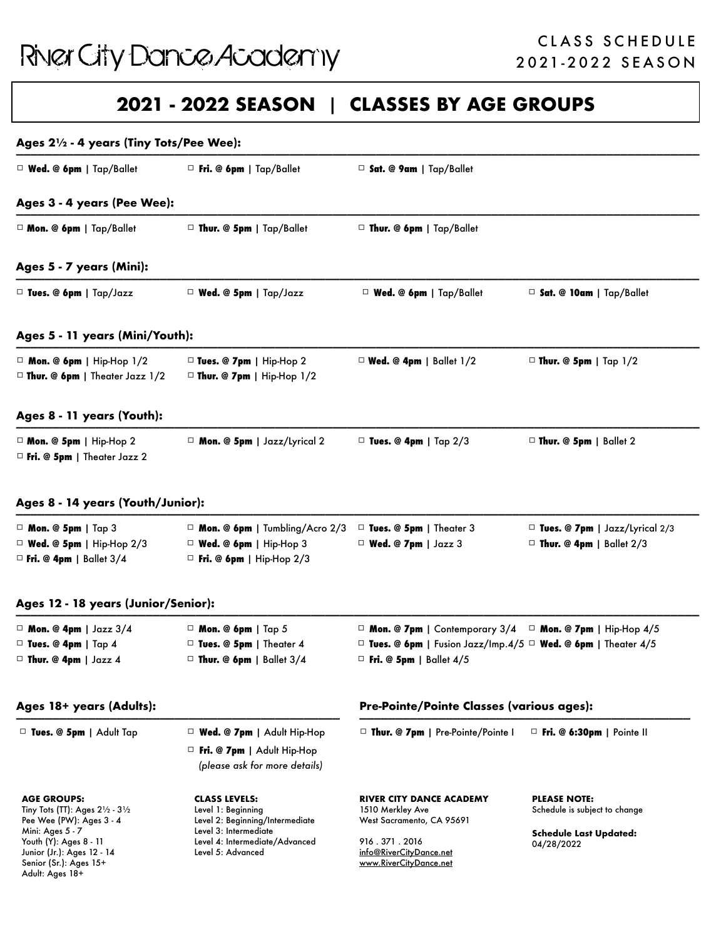Junior (Jr.): Ages 12 - 14 Senior (Sr.): Ages 15+ Adult: Ages 18+

Level 5: Advanced

### **2021 - 2022 SEASON** | **CLASSES BY AGE GROUPS**

| Ages 21/2 - 4 years (Tiny Tots/Pee Wee):                                                                                                               |                                                                                                                                          |                                                                                                                                                                |                                                                                                     |  |  |
|--------------------------------------------------------------------------------------------------------------------------------------------------------|------------------------------------------------------------------------------------------------------------------------------------------|----------------------------------------------------------------------------------------------------------------------------------------------------------------|-----------------------------------------------------------------------------------------------------|--|--|
| □ Wed. @ 6pm   Tap/Ballet                                                                                                                              | $\Box$ Fri. @ 6pm   Tap/Ballet                                                                                                           | $\Box$ Sat. @ 9am   Tap/Ballet                                                                                                                                 |                                                                                                     |  |  |
| Ages 3 - 4 years (Pee Wee):                                                                                                                            |                                                                                                                                          |                                                                                                                                                                |                                                                                                     |  |  |
| □ Mon. @ 6pm   Tap/Ballet                                                                                                                              | $\Box$ Thur. @ 5pm   Tap/Ballet                                                                                                          | □ Thur. @ 6pm   Tap/Ballet                                                                                                                                     |                                                                                                     |  |  |
| Ages 5 - 7 years (Mini):                                                                                                                               |                                                                                                                                          |                                                                                                                                                                |                                                                                                     |  |  |
| $\Box$ Tues. @ 6pm   Tap/Jazz                                                                                                                          | $\Box$ Wed. @ 5pm   Tap/Jazz                                                                                                             | Wed. @ 6pm   Tap/Ballet                                                                                                                                        | □ Sat. @ 10am   Tap/Ballet                                                                          |  |  |
| Ages 5 - 11 years (Mini/Youth):                                                                                                                        |                                                                                                                                          |                                                                                                                                                                |                                                                                                     |  |  |
| $\Box$ Mon. @ 6pm   Hip-Hop 1/2<br>$\Box$ Thur. @ 6pm   Theater Jazz 1/2                                                                               | □ Tues. @ 7pm   Hip-Hop 2<br>$\Box$ Thur. @ 7pm   Hip-Hop 1/2                                                                            | $\Box$ Wed. @ 4pm   Ballet 1/2                                                                                                                                 | $\Box$ Thur. @ 5pm   Tap 1/2                                                                        |  |  |
| Ages 8 - 11 years (Youth):                                                                                                                             |                                                                                                                                          |                                                                                                                                                                |                                                                                                     |  |  |
| $\Box$ Mon. @ 5pm   Hip-Hop 2<br>$\Box$ Fri. @ 5pm   Theater Jazz 2                                                                                    | □ Mon. @ 5pm   Jazz/Lyrical 2                                                                                                            | $\Box$ Tues. @ 4pm   Tap 2/3                                                                                                                                   | $\Box$ Thur. @ 5pm   Ballet 2                                                                       |  |  |
| Ages 8 - 14 years (Youth/Junior):                                                                                                                      |                                                                                                                                          |                                                                                                                                                                |                                                                                                     |  |  |
| $\Box$ Mon. @ 5pm   Tap 3<br>$\Box$ Wed. @ 5pm   Hip-Hop 2/3<br>$\Box$ Fri. @ 4pm   Ballet 3/4                                                         | $\Box$ Mon. @ 6pm   Tumbling/Acro 2/3<br>$\Box$ Wed. @ 6pm   Hip-Hop 3<br>$\Box$ Fri. @ 6pm   Hip-Hop 2/3                                | □ Tues. @ 5pm   Theater 3<br>$\Box$ Wed. @ 7pm   Jazz 3                                                                                                        | $\Box$ Tues. @ 7pm   Jazz/Lyrical 2/3<br>$\Box$ Thur. @ 4pm   Ballet 2/3                            |  |  |
| Ages 12 - 18 years (Junior/Senior):                                                                                                                    |                                                                                                                                          |                                                                                                                                                                |                                                                                                     |  |  |
| $\Box$ Mon. @ 4pm   Jazz 3/4<br>$\Box$ Tues. @ 4pm   Tap 4<br>$\Box$ Thur. @ 4pm   Jazz 4                                                              | $\Box$ Mon. @ 6pm   Tap 5<br>□ Tues. @ 5pm   Theater 4<br>$\Box$ Thur. @ 6pm   Ballet 3/4                                                | □ Mon. @ 7pm   Contemporary 3/4 □ Mon. @ 7pm   Hip-Hop 4/5<br>□ Tues. @ 6pm   Fusion Jazz/Imp.4/5 □ Wed. @ 6pm   Theater 4/5<br>$\Box$ Fri. @ 5pm   Ballet 4/5 |                                                                                                     |  |  |
| Ages 18+ years (Adults):                                                                                                                               |                                                                                                                                          | Pre-Pointe/Pointe Classes (various ages):                                                                                                                      |                                                                                                     |  |  |
| $\Box$ Tues. @ 5pm   Adult Tap                                                                                                                         | $\Box$ Wed. @ 7pm   Adult Hip-Hop<br>$\Box$ Fri. @ 7pm   Adult Hip-Hop<br>(please ask for more details)                                  | $\Box$ Thur. @ 7pm   Pre-Pointe/Pointe                                                                                                                         | $\Box$ Fri. @ 6:30pm   Pointe II                                                                    |  |  |
| <b>AGE GROUPS:</b><br>Tiny Tots (TT): Ages $2\frac{1}{2} \cdot 3\frac{1}{2}$<br>Pee Wee (PW): Ages 3 - 4<br>Mini: Ages 5 - 7<br>Youth (Y): Ages 8 - 11 | <b>CLASS LEVELS:</b><br>Level 1: Beginning<br>Level 2: Beginning/Intermediate<br>Level 3: Intermediate<br>Level 4: Intermediate/Advanced | RIVER CITY DANCE ACADEMY<br>1510 Merkley Ave<br>West Sacramento, CA 95691<br>916.371.2016                                                                      | <b>PLEASE NOTE:</b><br>Schedule is subject to change<br><b>Schedule Last Updated:</b><br>04/28/2022 |  |  |

[info@RiverCityDance.net](mailto:info@RiverCityDance.net) [www.RiverCityDance.net](http://www.RiverCityDance.net)